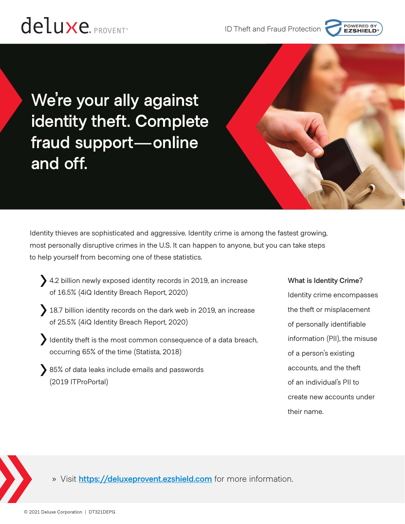



POWERED BY<br>**EZSHIELD** 

Identity thieves are sophisticated and aggressive. Identity crime is among the fastest growing, most personally disruptive crimes in the U.S. It can happen to anyone, but you can take steps to help yourself from becoming one of these statistics.

- 4.2 billion newly exposed identity records in 2019, an increase of 16.5% (4iQ Identity Breach Report, 2020)
- 18.7 billion identity records on the dark web in 2019, an increase of 25.5% (4iQ Identity Breach Report, 2020)
- I dentity theft is the most common consequence of a data breach, occurring 65% of the time (Statista, 2018)
- 85% of data leaks include emails and passwords (2019 ITProPortal)

# **What is Identity Crime?**

Identity crime encompasses the theft or misplacement of personally identifiable information (PII), the misuse of a person's existing accounts, and the theft of an individual's PII to create new accounts under their name.

» Visit **<https://deluxeprovent.ezshield.com>** for more information.